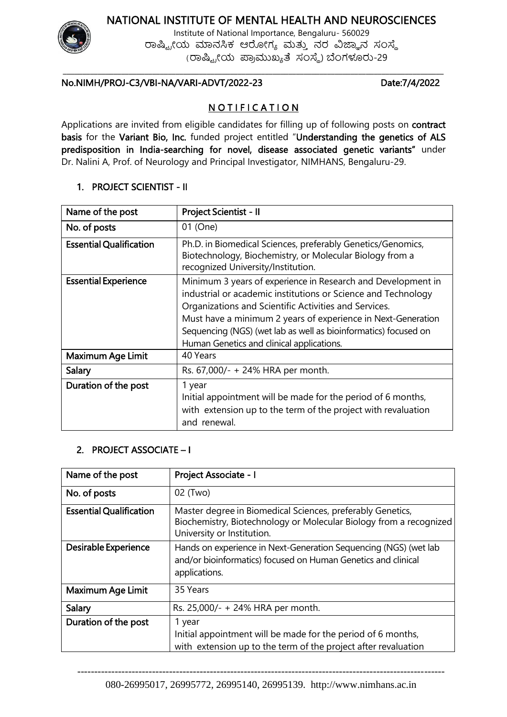# NATIONAL INSTITUTE OF MENTAL HEALTH AND NEUROSCIENCES



Institute of National Importance, Bengaluru- 560029 ರಾಷ್ಟ್ರೀಯ ಮಾನಸಿಕ ಆರೋಗ್ಯ ಮತ್ತು ನರ ವಿಜ್ಞಾನ ಸಂಸ್ಥೆ (ರಾಷ್ಟ್ರೀಯ ಪ್ರಾಮುಖ್ಯತೆ ಸಂಸ್ಥೆ) ಬೆಂಗಳೂರು-29

### No.NIMH/PROJ-C3/VBI-NA/VARI-ADVT/2022-23 Date:7/4/2022

## NOTIFICATION

\_\_\_\_\_\_\_\_\_\_\_\_\_\_\_\_\_\_\_\_\_\_\_\_\_\_\_\_\_\_\_\_\_\_\_\_\_\_\_\_\_\_\_\_\_\_\_\_\_\_\_\_\_\_\_\_\_\_\_\_\_\_\_\_\_\_\_\_\_\_\_\_\_\_\_\_\_\_\_\_\_\_\_\_\_\_\_\_\_\_\_\_\_\_\_\_\_\_

Applications are invited from eligible candidates for filling up of following posts on contract basis for the Variant Bio, Inc. funded project entitled "Understanding the genetics of ALS predisposition in India-searching for novel, disease associated genetic variants" under Dr. Nalini A, Prof. of Neurology and Principal Investigator, NIMHANS, Bengaluru-29.

#### 1. PROJECT SCIENTIST - II

| Name of the post               | Project Scientist - II                                                                                                                                                                                                                                                                                                                                                 |
|--------------------------------|------------------------------------------------------------------------------------------------------------------------------------------------------------------------------------------------------------------------------------------------------------------------------------------------------------------------------------------------------------------------|
| No. of posts                   | 01 (One)                                                                                                                                                                                                                                                                                                                                                               |
| <b>Essential Qualification</b> | Ph.D. in Biomedical Sciences, preferably Genetics/Genomics,<br>Biotechnology, Biochemistry, or Molecular Biology from a<br>recognized University/Institution.                                                                                                                                                                                                          |
| <b>Essential Experience</b>    | Minimum 3 years of experience in Research and Development in<br>industrial or academic institutions or Science and Technology<br>Organizations and Scientific Activities and Services.<br>Must have a minimum 2 years of experience in Next-Generation<br>Sequencing (NGS) (wet lab as well as bioinformatics) focused on<br>Human Genetics and clinical applications. |
| Maximum Age Limit              | 40 Years                                                                                                                                                                                                                                                                                                                                                               |
| Salary                         | Rs. 67,000/- + 24% HRA per month.                                                                                                                                                                                                                                                                                                                                      |
| Duration of the post           | 1 year<br>Initial appointment will be made for the period of 6 months,<br>with extension up to the term of the project with revaluation<br>and renewal.                                                                                                                                                                                                                |

### 2. PROJECT ASSOCIATE – I

| Name of the post               | Project Associate - I                                                                                                                                          |
|--------------------------------|----------------------------------------------------------------------------------------------------------------------------------------------------------------|
| No. of posts                   | 02 (Two)                                                                                                                                                       |
| <b>Essential Qualification</b> | Master degree in Biomedical Sciences, preferably Genetics,<br>Biochemistry, Biotechnology or Molecular Biology from a recognized<br>University or Institution. |
| Desirable Experience           | Hands on experience in Next-Generation Sequencing (NGS) (wet lab<br>and/or bioinformatics) focused on Human Genetics and clinical<br>applications.             |
| Maximum Age Limit              | 35 Years                                                                                                                                                       |
| Salary                         | Rs. 25,000/- + 24% HRA per month.                                                                                                                              |
| Duration of the post           | 1 year<br>Initial appointment will be made for the period of 6 months,<br>with extension up to the term of the project after revaluation                       |